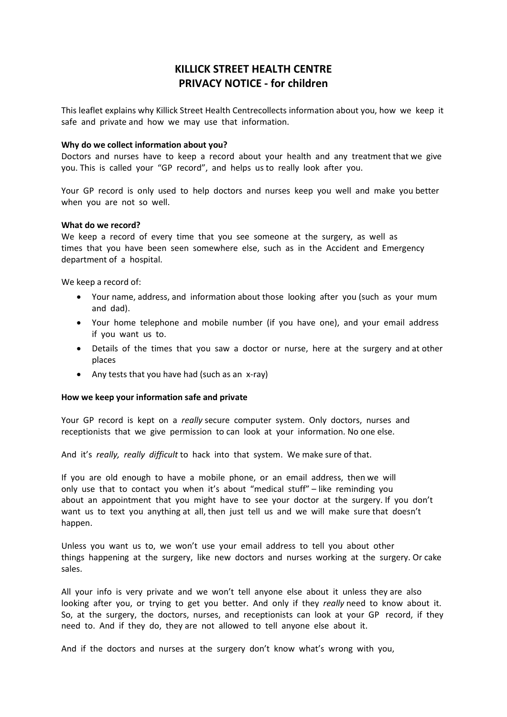# KILLICK STREET HEALTH CENTRE PRIVACY NOTICE - for children

This leaflet explains why Killick Street Health Centrecollects information about you, how we keep it safe and private and how we may use that information.

## Why do we collect information about you?

Doctors and nurses have to keep a record about your health and any treatment that we give you. This is called your "GP record", and helps us to really look after you.

Your GP record is only used to help doctors and nurses keep you well and make you better when you are not so well.

## What do we record?

We keep a record of every time that you see someone at the surgery, as well as times that you have been seen somewhere else, such as in the Accident and Emergency department of a hospital.

We keep a record of:

- Your name, address, and information about those looking after you (such as your mum and dad).
- Your home telephone and mobile number (if you have one), and your email address if you want us to.
- Details of the times that you saw a doctor or nurse, here at the surgery and at other places
- Any tests that you have had (such as an x-ray)

## How we keep your information safe and private

Your GP record is kept on a really secure computer system. Only doctors, nurses and receptionists that we give permission to can look at your information. No one else.

And it's really, really difficult to hack into that system. We make sure of that.

If you are old enough to have a mobile phone, or an email address, then we will only use that to contact you when it's about "medical stuff" – like reminding you about an appointment that you might have to see your doctor at the surgery. If you don't want us to text you anything at all, then just tell us and we will make sure that doesn't happen.

Unless you want us to, we won't use your email address to tell you about other things happening at the surgery, like new doctors and nurses working at the surgery. Or cake sales.

All your info is very private and we won't tell anyone else about it unless they are also looking after you, or trying to get you better. And only if they really need to know about it. So, at the surgery, the doctors, nurses, and receptionists can look at your GP record, if they need to. And if they do, they are not allowed to tell anyone else about it.

And if the doctors and nurses at the surgery don't know what's wrong with you,